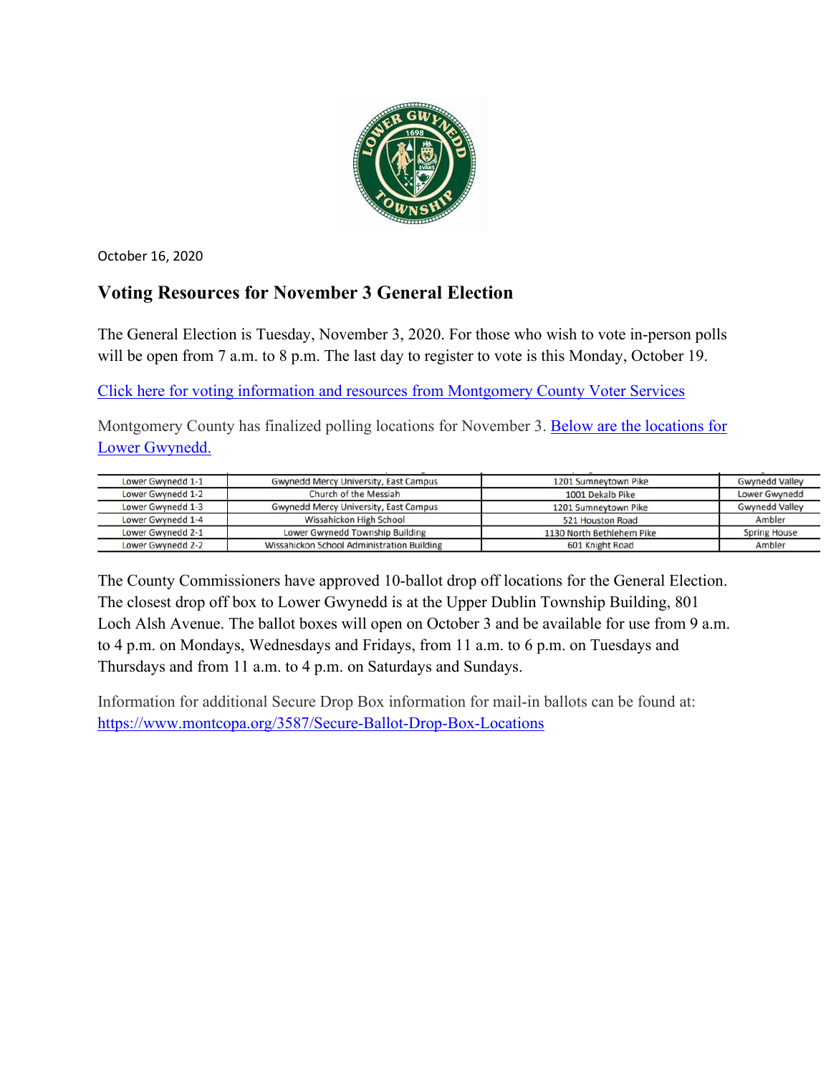

October 16, 2020

# **Voting Resources for November 3 General Election**

The General Election is Tuesday, November 3, 2020. For those who wish to vote in-person polls will be open from 7 a.m. to 8 p.m. The last day to register to vote is this Monday, October 19.

[Click here for voting information and resources from Montgomery County Voter Services](https://www.montcopa.org/753/Voter-Services)

Montgomery County has finalized polling locations for November 3. [Below are the locations for](https://www.montcopa.org/DocumentCenter/View/28823/Confirmed-Polling-Locations-for-the-2020-General-Election?bidId=)  [Lower Gwynedd.](https://www.montcopa.org/DocumentCenter/View/28823/Confirmed-Polling-Locations-for-the-2020-General-Election?bidId=)

| Lower Gwynedd 1-1 | <b>Gwynedd Mercy University, East Campus</b> | 1201 Sumneytown Pike      | <b>Gwynedd Valley</b> |
|-------------------|----------------------------------------------|---------------------------|-----------------------|
| Lower Gwynedd 1-2 | Church of the Messiah                        | 1001 Dekalb Pike          | Lower Gwynedd         |
| Lower Gwynedd 1-3 | <b>Gwynedd Mercy University, East Campus</b> | 1201 Sumneytown Pike      | <b>Gwynedd Valley</b> |
| Lower Gwynedd 1-4 | Wissahickon High School                      | 521 Houston Road          | Ambler                |
| Lower Gwynedd 2-1 | Lower Gwynedd Township Building              | 1130 North Bethlehem Pike | <b>Spring House</b>   |
| Lower Gwynedd 2-2 | Wissahickon School Administration Building   | 601 Knight Road           | Ambler                |

The County Commissioners have approved 10-ballot drop off locations for the General Election. The closest drop off box to Lower Gwynedd is at the Upper Dublin Township Building, 801 Loch Alsh Avenue. The ballot boxes will open on October 3 and be available for use from 9 a.m. to 4 p.m. on Mondays, Wednesdays and Fridays, from 11 a.m. to 6 p.m. on Tuesdays and Thursdays and from 11 a.m. to 4 p.m. on Saturdays and Sundays.

Information for additional Secure Drop Box information for mail-in ballots can be found at: <https://www.montcopa.org/3587/Secure-Ballot-Drop-Box-Locations>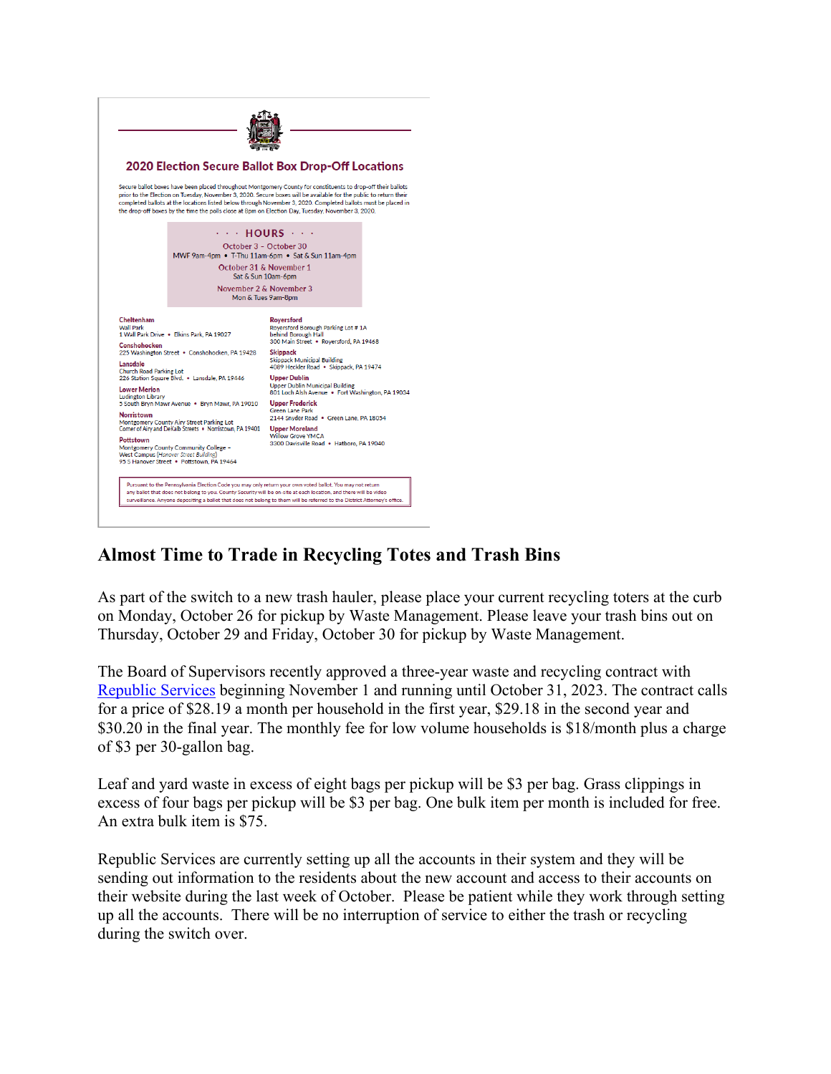

### **Almost Time to Trade in Recycling Totes and Trash Bins**

As part of the switch to a new trash hauler, please place your current recycling toters at the curb on Monday, October 26 for pickup by Waste Management. Please leave your trash bins out on Thursday, October 29 and Friday, October 30 for pickup by Waste Management.

The Board of Supervisors recently approved a three-year waste and recycling contract with [Republic Services](https://www.republicservices.com/) beginning November 1 and running until October 31, 2023. The contract calls for a price of \$28.19 a month per household in the first year, \$29.18 in the second year and \$30.20 in the final year. The monthly fee for low volume households is \$18/month plus a charge of \$3 per 30-gallon bag.

Leaf and yard waste in excess of eight bags per pickup will be \$3 per bag. Grass clippings in excess of four bags per pickup will be \$3 per bag. One bulk item per month is included for free. An extra bulk item is \$75.

Republic Services are currently setting up all the accounts in their system and they will be sending out information to the residents about the new account and access to their accounts on their website during the last week of October. Please be patient while they work through setting up all the accounts. There will be no interruption of service to either the trash or recycling during the switch over.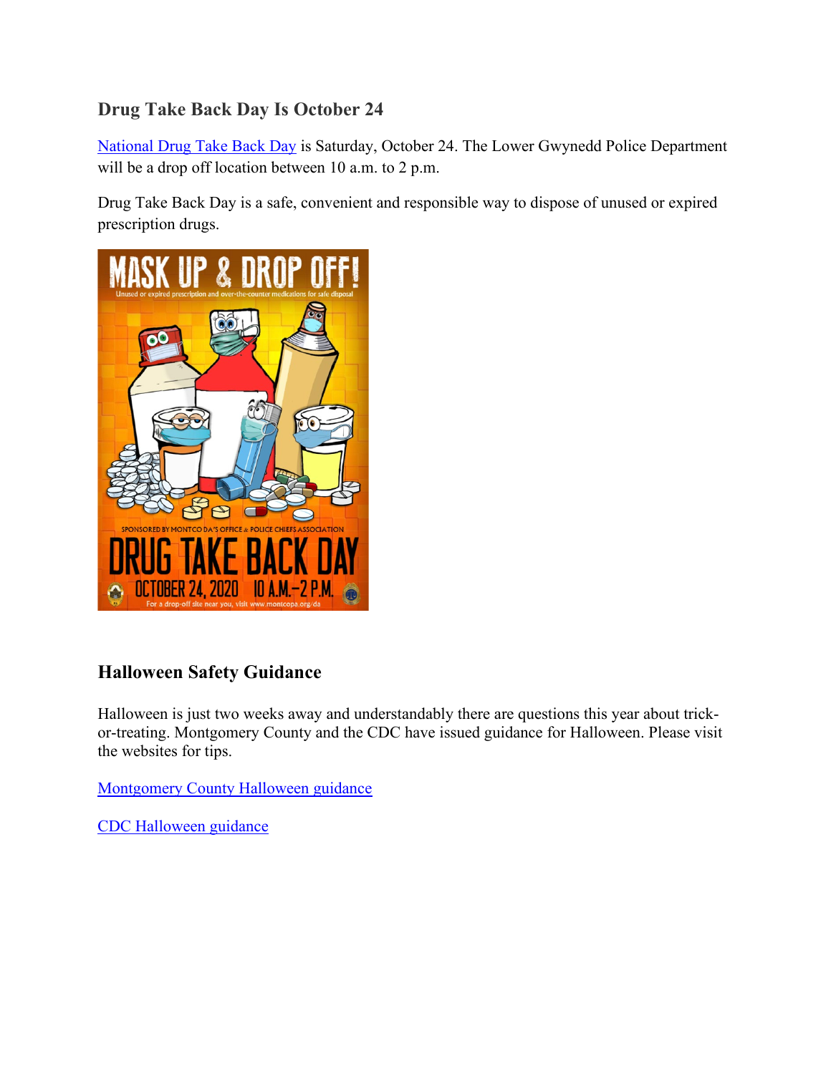# **Drug Take Back Day Is October 24**

[National Drug Take Back Day](https://takebackday.dea.gov/) is Saturday, October 24. The Lower Gwynedd Police Department will be a drop off location between 10 a.m. to 2 p.m.

Drug Take Back Day is a safe, convenient and responsible way to dispose of unused or expired prescription drugs.



### **Halloween Safety Guidance**

Halloween is just two weeks away and understandably there are questions this year about trickor-treating. Montgomery County and the CDC have issued guidance for Halloween. Please visit the websites for tips.

**[Montgomery County Halloween guidance](https://www.montcopa.org/DocumentCenter/View/29008/Montgomery-County-Halloween-Guidance)** 

[CDC Halloween guidance](https://www.cdc.gov/coronavirus/2019-ncov/daily-life-coping/holidays.html#halloween)